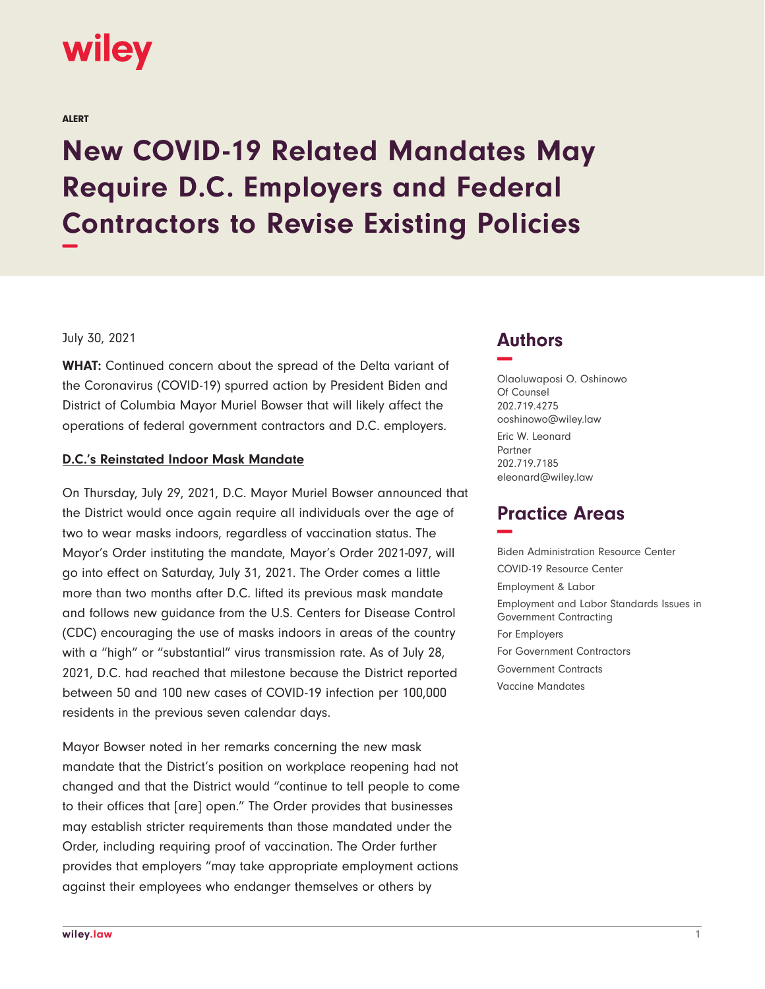

#### ALERT

# **New COVID-19 Related Mandates May Require D.C. Employers and Federal Contractors to Revise Existing Policies −**

#### July 30, 2021

**WHAT:** Continued concern about the spread of the Delta variant of the Coronavirus (COVID-19) spurred action by President Biden and District of Columbia Mayor Muriel Bowser that will likely affect the operations of federal government contractors and D.C. employers.

## **D.C.'s Reinstated Indoor Mask Mandate**

On Thursday, July 29, 2021, D.C. Mayor Muriel Bowser announced that the District would once again require all individuals over the age of two to wear masks indoors, regardless of vaccination status. The Mayor's Order instituting the mandate, Mayor's Order 2021-097, will go into effect on Saturday, July 31, 2021. The Order comes a little more than two months after D.C. lifted its previous mask mandate and follows new guidance from the U.S. Centers for Disease Control (CDC) encouraging the use of masks indoors in areas of the country with a "high" or "substantial" virus transmission rate. As of July 28, 2021, D.C. had reached that milestone because the District reported between 50 and 100 new cases of COVID-19 infection per 100,000 residents in the previous seven calendar days.

Mayor Bowser noted in her remarks concerning the new mask mandate that the District's position on workplace reopening had not changed and that the District would "continue to tell people to come to their offices that [are] open." The Order provides that businesses may establish stricter requirements than those mandated under the Order, including requiring proof of vaccination. The Order further provides that employers "may take appropriate employment actions against their employees who endanger themselves or others by

## **Authors −**

Olaoluwaposi O. Oshinowo Of Counsel 202.719.4275 ooshinowo@wiley.law Eric W. Leonard Partner 202.719.7185 eleonard@wiley.law

# **Practice Areas −**

Biden Administration Resource Center COVID-19 Resource Center Employment & Labor Employment and Labor Standards Issues in Government Contracting For Employers For Government Contractors Government Contracts Vaccine Mandates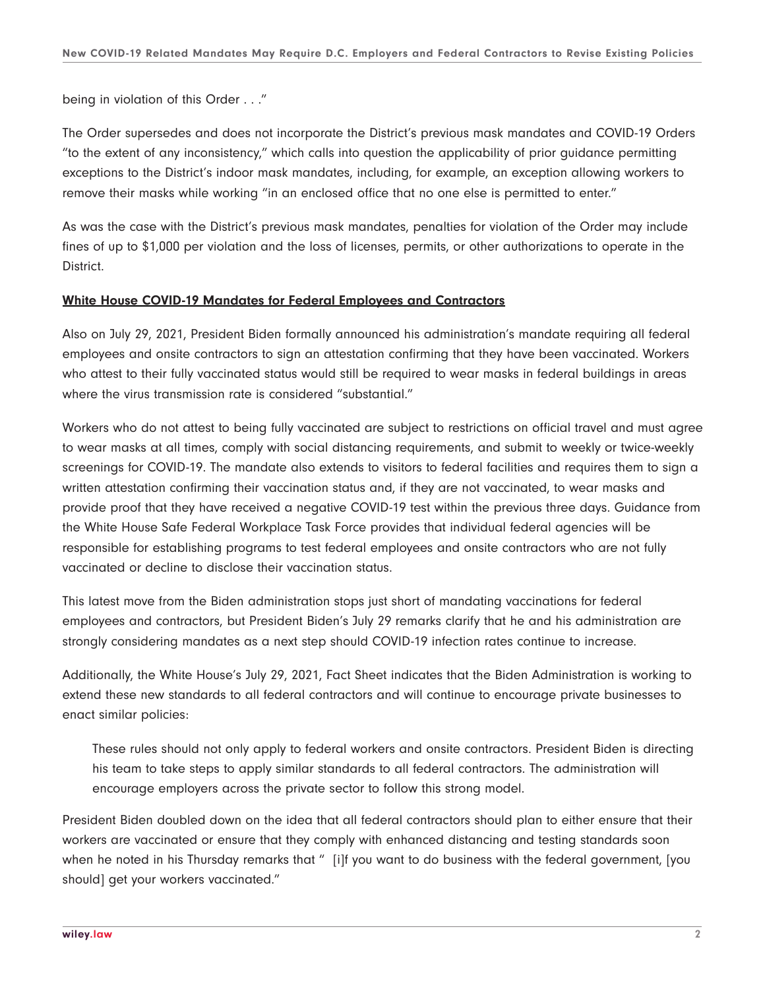being in violation of this Order . . ."

The Order supersedes and does not incorporate the District's previous mask mandates and COVID-19 Orders "to the extent of any inconsistency," which calls into question the applicability of prior guidance permitting exceptions to the District's indoor mask mandates, including, for example, an exception allowing workers to remove their masks while working "in an enclosed office that no one else is permitted to enter."

As was the case with the District's previous mask mandates, penalties for violation of the Order may include fines of up to \$1,000 per violation and the loss of licenses, permits, or other authorizations to operate in the District.

## **White House COVID-19 Mandates for Federal Employees and Contractors**

Also on July 29, 2021, President Biden formally announced his administration's mandate requiring all federal employees and onsite contractors to sign an attestation confirming that they have been vaccinated. Workers who attest to their fully vaccinated status would still be required to wear masks in federal buildings in areas where the virus transmission rate is considered "substantial."

Workers who do not attest to being fully vaccinated are subject to restrictions on official travel and must agree to wear masks at all times, comply with social distancing requirements, and submit to weekly or twice-weekly screenings for COVID-19. The mandate also extends to visitors to federal facilities and requires them to sign a written attestation confirming their vaccination status and, if they are not vaccinated, to wear masks and provide proof that they have received a negative COVID-19 test within the previous three days. Guidance from the White House Safe Federal Workplace Task Force provides that individual federal agencies will be responsible for establishing programs to test federal employees and onsite contractors who are not fully vaccinated or decline to disclose their vaccination status.

This latest move from the Biden administration stops just short of mandating vaccinations for federal employees and contractors, but President Biden's July 29 remarks clarify that he and his administration are strongly considering mandates as a next step should COVID-19 infection rates continue to increase.

Additionally, the White House's July 29, 2021, Fact Sheet indicates that the Biden Administration is working to extend these new standards to all federal contractors and will continue to encourage private businesses to enact similar policies:

These rules should not only apply to federal workers and onsite contractors. President Biden is directing his team to take steps to apply similar standards to all federal contractors. The administration will encourage employers across the private sector to follow this strong model.

President Biden doubled down on the idea that all federal contractors should plan to either ensure that their workers are vaccinated or ensure that they comply with enhanced distancing and testing standards soon when he noted in his Thursday remarks that " [i]f you want to do business with the federal government, [you should] get your workers vaccinated."